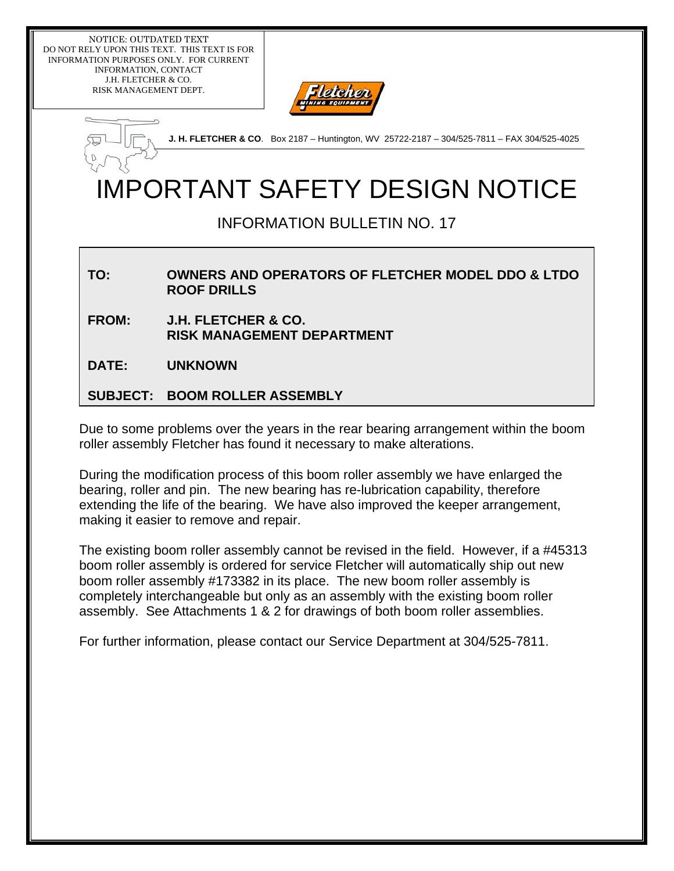NOTICE: OUTDATED TEXT DO NOT RELY UPON THIS TEXT. THIS TEXT IS FOR INFORMATION PURPOSES ONLY. FOR CURRENT INFORMATION, CONTACT J.H. FLETCHER & CO. RISK MANAGEMENT DEPT.



**J. H. FLETCHER & CO**. Box 2187 – Huntington, WV 25722-2187 – 304/525-7811 – FAX 304/525-4025

# IMPORTANT SAFETY DESIGN NOTICE

## INFORMATION BULLETIN NO. 17

#### **TO: OWNERS AND OPERATORS OF FLETCHER MODEL DDO & LTDO ROOF DRILLS**

**FROM: J.H. FLETCHER & CO. RISK MANAGEMENT DEPARTMENT** 

**DATE: UNKNOWN** 

#### **SUBJECT: BOOM ROLLER ASSEMBLY**

Due to some problems over the years in the rear bearing arrangement within the boom roller assembly Fletcher has found it necessary to make alterations.

During the modification process of this boom roller assembly we have enlarged the bearing, roller and pin. The new bearing has re-lubrication capability, therefore extending the life of the bearing. We have also improved the keeper arrangement, making it easier to remove and repair.

The existing boom roller assembly cannot be revised in the field. However, if a #45313 boom roller assembly is ordered for service Fletcher will automatically ship out new boom roller assembly #173382 in its place. The new boom roller assembly is completely interchangeable but only as an assembly with the existing boom roller assembly. See Attachments 1 & 2 for drawings of both boom roller assemblies.

For further information, please contact our Service Department at 304/525-7811.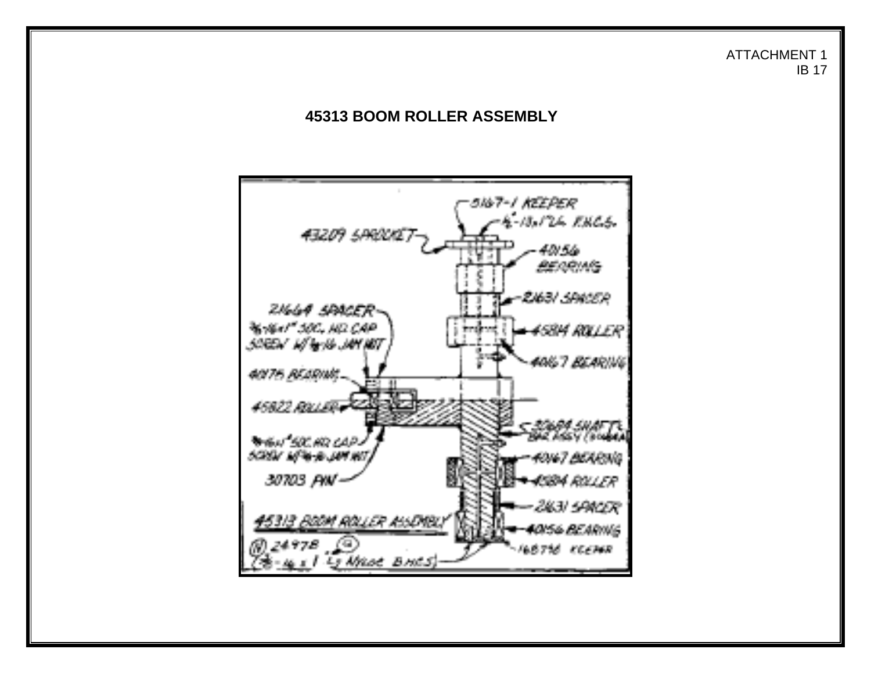#### ATTACHMENT 1 IB 17

### **45313 BOOM ROLLER ASSEMBLY**